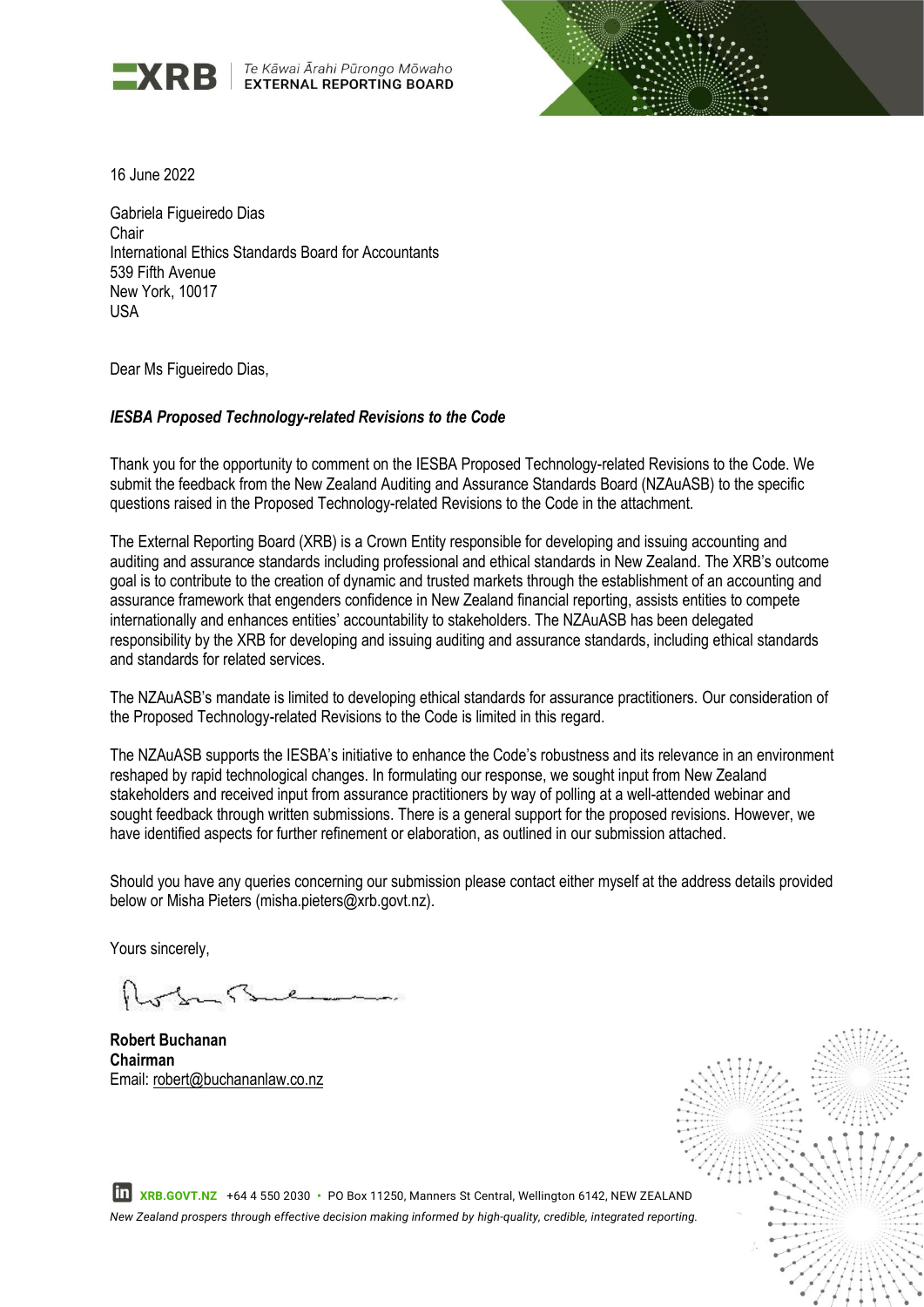

Te Kāwai Ārahi Pūrongo Mōwaho **EXTERNAL REPORTING BOARD** 



16 June 2022

Gabriela Figueiredo Dias Chair International Ethics Standards Board for Accountants 539 Fifth Avenue New York, 10017 USA

Dear Ms Figueiredo Dias.

#### *IESBA Proposed Technology-related Revisions to the Code*

Thank you for the opportunity to comment on the IESBA Proposed Technology-related Revisions to the Code. We submit the feedback from the New Zealand Auditing and Assurance Standards Board (NZAuASB) to the specific questions raised in the Proposed Technology-related Revisions to the Code in the attachment.

The External Reporting Board (XRB) is a Crown Entity responsible for developing and issuing accounting and auditing and assurance standards including professional and ethical standards in New Zealand. The XRB's outcome goal is to contribute to the creation of dynamic and trusted markets through the establishment of an accounting and assurance framework that engenders confidence in New Zealand financial reporting, assists entities to compete internationally and enhances entities' accountability to stakeholders. The NZAuASB has been delegated responsibility by the XRB for developing and issuing auditing and assurance standards, including ethical standards and standards for related services.

The NZAuASB's mandate is limited to developing ethical standards for assurance practitioners. Our consideration of the Proposed Technology-related Revisions to the Code is limited in this regard.

The NZAuASB supports the IESBA's initiative to enhance the Code's robustness and its relevance in an environment reshaped by rapid technological changes. In formulating our response, we sought input from New Zealand stakeholders and received input from assurance practitioners by way of polling at a well-attended webinar and sought feedback through written submissions. There is a general support for the proposed revisions. However, we have identified aspects for further refinement or elaboration, as outlined in our submission attached.

Should you have any queries concerning our submission please contact either myself at the address details provided below or Misha Pieters (misha.pieters@xrb.govt.nz).

Yours sincerely,

 $\varsigma$ 

**Robert Buchanan Chairman** Email: robert@buchananlaw.co.nz



 **XRB.GOVT.NZ** +64 4 550 2030 **•** PO Box 11250, Manners St Central, Wellington 6142, NEW ZEALAND *New Zealand prospers through effective decision making informed by high-quality, credible, integrated reporting.*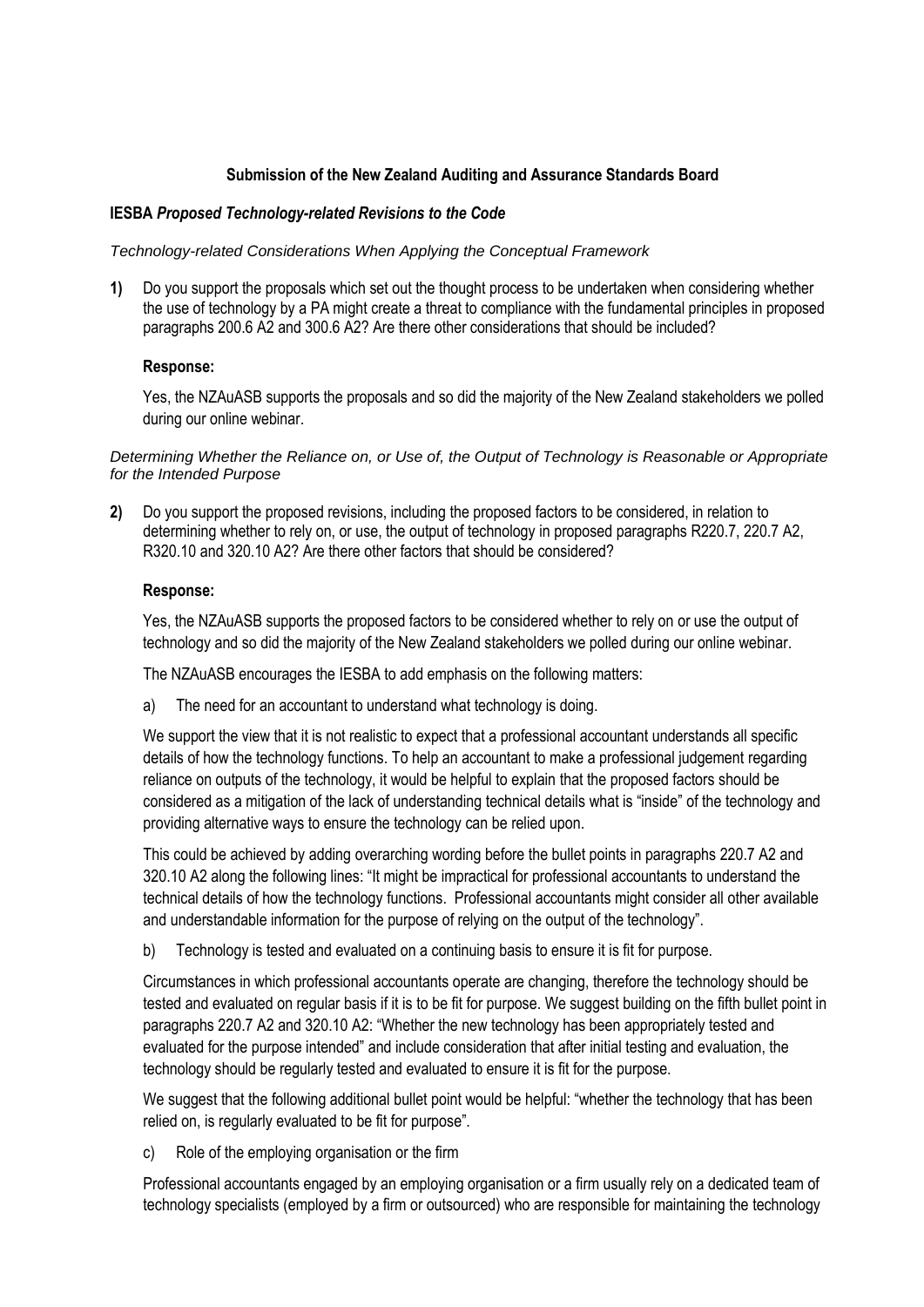# **Submission of the New Zealand Auditing and Assurance Standards Board**

## **IESBA** *Proposed Technology-related Revisions to the Code*

*Technology-related Considerations When Applying the Conceptual Framework* 

**1)** Do you support the proposals which set out the thought process to be undertaken when considering whether the use of technology by a PA might create a threat to compliance with the fundamental principles in proposed paragraphs 200.6 A2 and 300.6 A2? Are there other considerations that should be included?

## **Response:**

Yes, the NZAuASB supports the proposals and so did the majority of the New Zealand stakeholders we polled during our online webinar.

*Determining Whether the Reliance on, or Use of, the Output of Technology is Reasonable or Appropriate for the Intended Purpose* 

**2)** Do you support the proposed revisions, including the proposed factors to be considered, in relation to determining whether to rely on, or use, the output of technology in proposed paragraphs R220.7, 220.7 A2, R320.10 and 320.10 A2? Are there other factors that should be considered?

## **Response:**

Yes, the NZAuASB supports the proposed factors to be considered whether to rely on or use the output of technology and so did the majority of the New Zealand stakeholders we polled during our online webinar.

The NZAuASB encourages the IESBA to add emphasis on the following matters:

a) The need for an accountant to understand what technology is doing.

We support the view that it is not realistic to expect that a professional accountant understands all specific details of how the technology functions. To help an accountant to make a professional judgement regarding reliance on outputs of the technology, it would be helpful to explain that the proposed factors should be considered as a mitigation of the lack of understanding technical details what is "inside" of the technology and providing alternative ways to ensure the technology can be relied upon.

This could be achieved by adding overarching wording before the bullet points in paragraphs 220.7 A2 and 320.10 A2 along the following lines: "It might be impractical for professional accountants to understand the technical details of how the technology functions. Professional accountants might consider all other available and understandable information for the purpose of relying on the output of the technology".

b) Technology is tested and evaluated on a continuing basis to ensure it is fit for purpose.

Circumstances in which professional accountants operate are changing, therefore the technology should be tested and evaluated on regular basis if it is to be fit for purpose. We suggest building on the fifth bullet point in paragraphs 220.7 A2 and 320.10 A2: "Whether the new technology has been appropriately tested and evaluated for the purpose intended" and include consideration that after initial testing and evaluation, the technology should be regularly tested and evaluated to ensure it is fit for the purpose.

We suggest that the following additional bullet point would be helpful: "whether the technology that has been relied on, is regularly evaluated to be fit for purpose".

c) Role of the employing organisation or the firm

Professional accountants engaged by an employing organisation or a firm usually rely on a dedicated team of technology specialists (employed by a firm or outsourced) who are responsible for maintaining the technology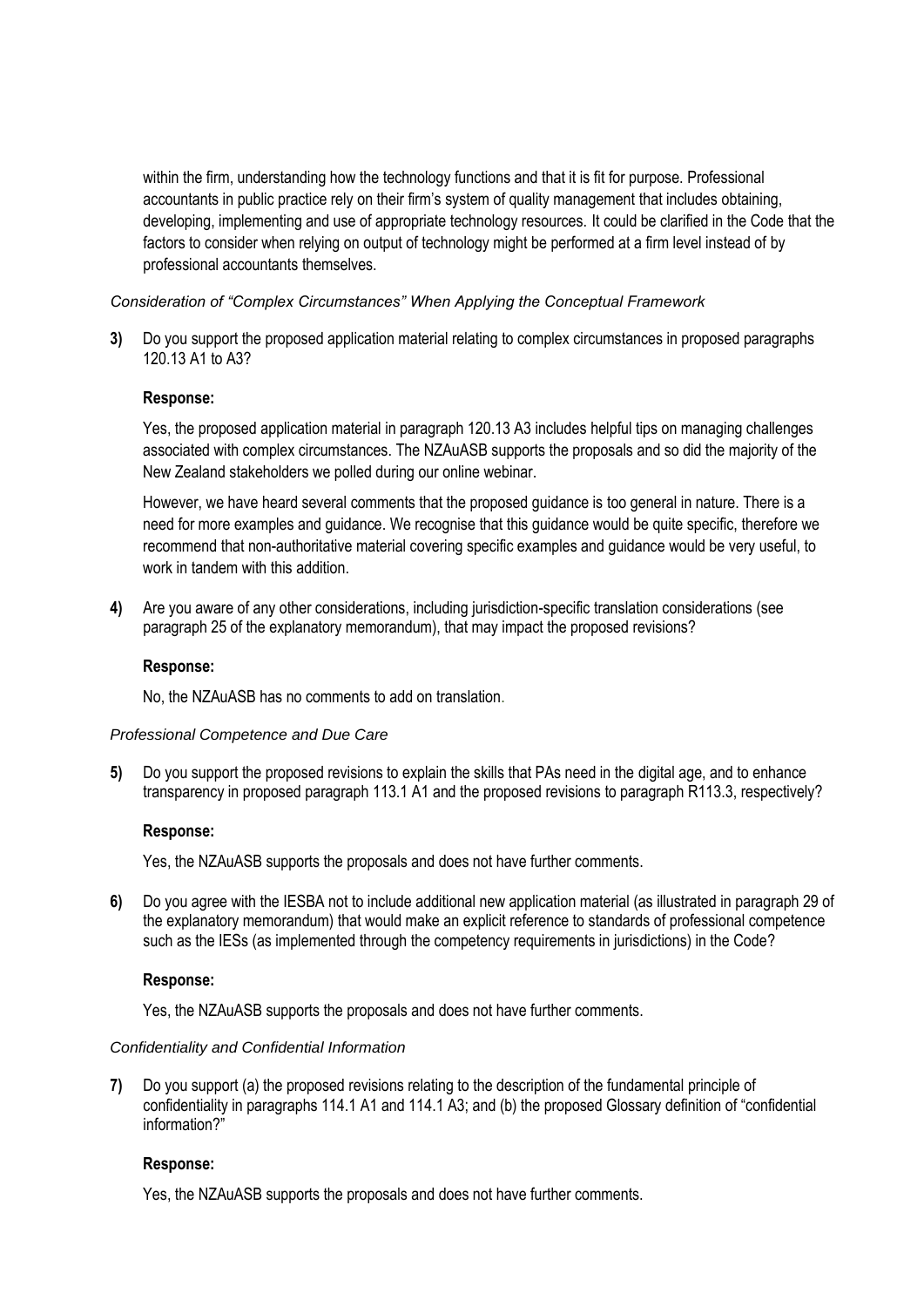within the firm, understanding how the technology functions and that it is fit for purpose. Professional accountants in public practice rely on their firm's system of quality management that includes obtaining, developing, implementing and use of appropriate technology resources. It could be clarified in the Code that the factors to consider when relying on output of technology might be performed at a firm level instead of by professional accountants themselves.

*Consideration of "Complex Circumstances" When Applying the Conceptual Framework* 

**3)** Do you support the proposed application material relating to complex circumstances in proposed paragraphs 120.13 A1 to A3?

#### **Response:**

Yes, the proposed application material in paragraph 120.13 A3 includes helpful tips on managing challenges associated with complex circumstances. The NZAuASB supports the proposals and so did the majority of the New Zealand stakeholders we polled during our online webinar.

However, we have heard several comments that the proposed guidance is too general in nature. There is a need for more examples and guidance. We recognise that this guidance would be quite specific, therefore we recommend that non-authoritative material covering specific examples and guidance would be very useful, to work in tandem with this addition

**4)** Are you aware of any other considerations, including jurisdiction-specific translation considerations (see paragraph 25 of the explanatory memorandum), that may impact the proposed revisions?

#### **Response:**

No, the NZAuASB has no comments to add on translation.

#### *Professional Competence and Due Care*

**5)** Do you support the proposed revisions to explain the skills that PAs need in the digital age, and to enhance transparency in proposed paragraph 113.1 A1 and the proposed revisions to paragraph R113.3, respectively?

#### **Response:**

Yes, the NZAuASB supports the proposals and does not have further comments.

**6)** Do you agree with the IESBA not to include additional new application material (as illustrated in paragraph 29 of the explanatory memorandum) that would make an explicit reference to standards of professional competence such as the IESs (as implemented through the competency requirements in jurisdictions) in the Code?

#### **Response:**

Yes, the NZAuASB supports the proposals and does not have further comments.

#### *Confidentiality and Confidential Information*

**7)** Do you support (a) the proposed revisions relating to the description of the fundamental principle of confidentiality in paragraphs 114.1 A1 and 114.1 A3; and (b) the proposed Glossary definition of "confidential information?"

#### **Response:**

Yes, the NZAuASB supports the proposals and does not have further comments.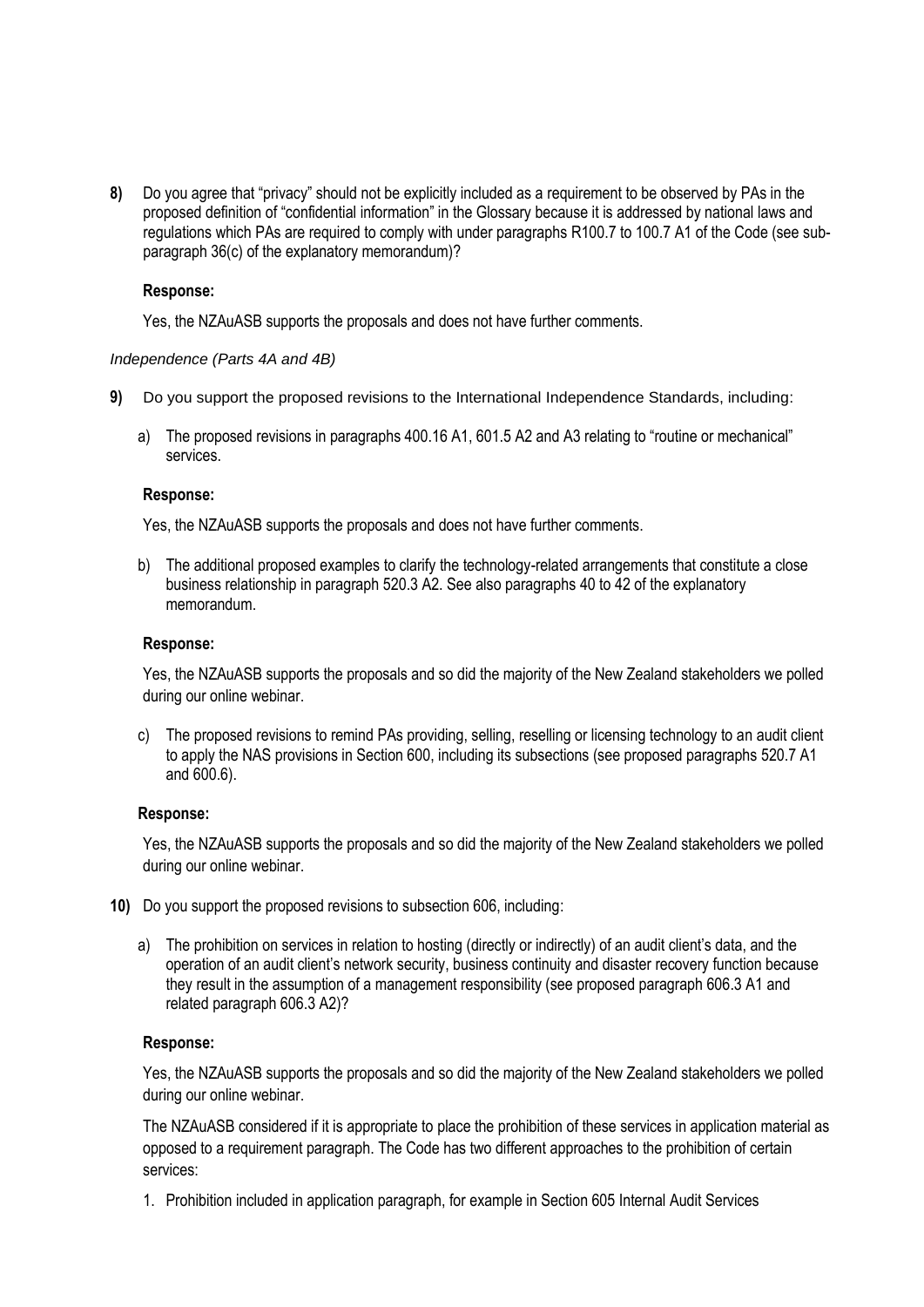**8)** Do you agree that "privacy" should not be explicitly included as a requirement to be observed by PAs in the proposed definition of "confidential information" in the Glossary because it is addressed by national laws and regulations which PAs are required to comply with under paragraphs R100.7 to 100.7 A1 of the Code (see subparagraph 36(c) of the explanatory memorandum)?

### **Response:**

Yes, the NZAuASB supports the proposals and does not have further comments.

## *Independence (Parts 4A and 4B)*

- **9)** Do you support the proposed revisions to the International Independence Standards, including:
	- a) The proposed revisions in paragraphs 400.16 A1, 601.5 A2 and A3 relating to "routine or mechanical" services.

#### **Response:**

Yes, the NZAuASB supports the proposals and does not have further comments.

b) The additional proposed examples to clarify the technology-related arrangements that constitute a close business relationship in paragraph 520.3 A2. See also paragraphs 40 to 42 of the explanatory memorandum.

## **Response:**

Yes, the NZAuASB supports the proposals and so did the majority of the New Zealand stakeholders we polled during our online webinar.

c) The proposed revisions to remind PAs providing, selling, reselling or licensing technology to an audit client to apply the NAS provisions in Section 600, including its subsections (see proposed paragraphs 520.7 A1 and 600.6).

#### **Response:**

Yes, the NZAuASB supports the proposals and so did the majority of the New Zealand stakeholders we polled during our online webinar.

- **10)** Do you support the proposed revisions to subsection 606, including:
	- a) The prohibition on services in relation to hosting (directly or indirectly) of an audit client's data, and the operation of an audit client's network security, business continuity and disaster recovery function because they result in the assumption of a management responsibility (see proposed paragraph 606.3 A1 and related paragraph 606.3 A2)?

#### **Response:**

Yes, the NZAuASB supports the proposals and so did the majority of the New Zealand stakeholders we polled during our online webinar.

The NZAuASB considered if it is appropriate to place the prohibition of these services in application material as opposed to a requirement paragraph. The Code has two different approaches to the prohibition of certain services:

1. Prohibition included in application paragraph, for example in Section 605 Internal Audit Services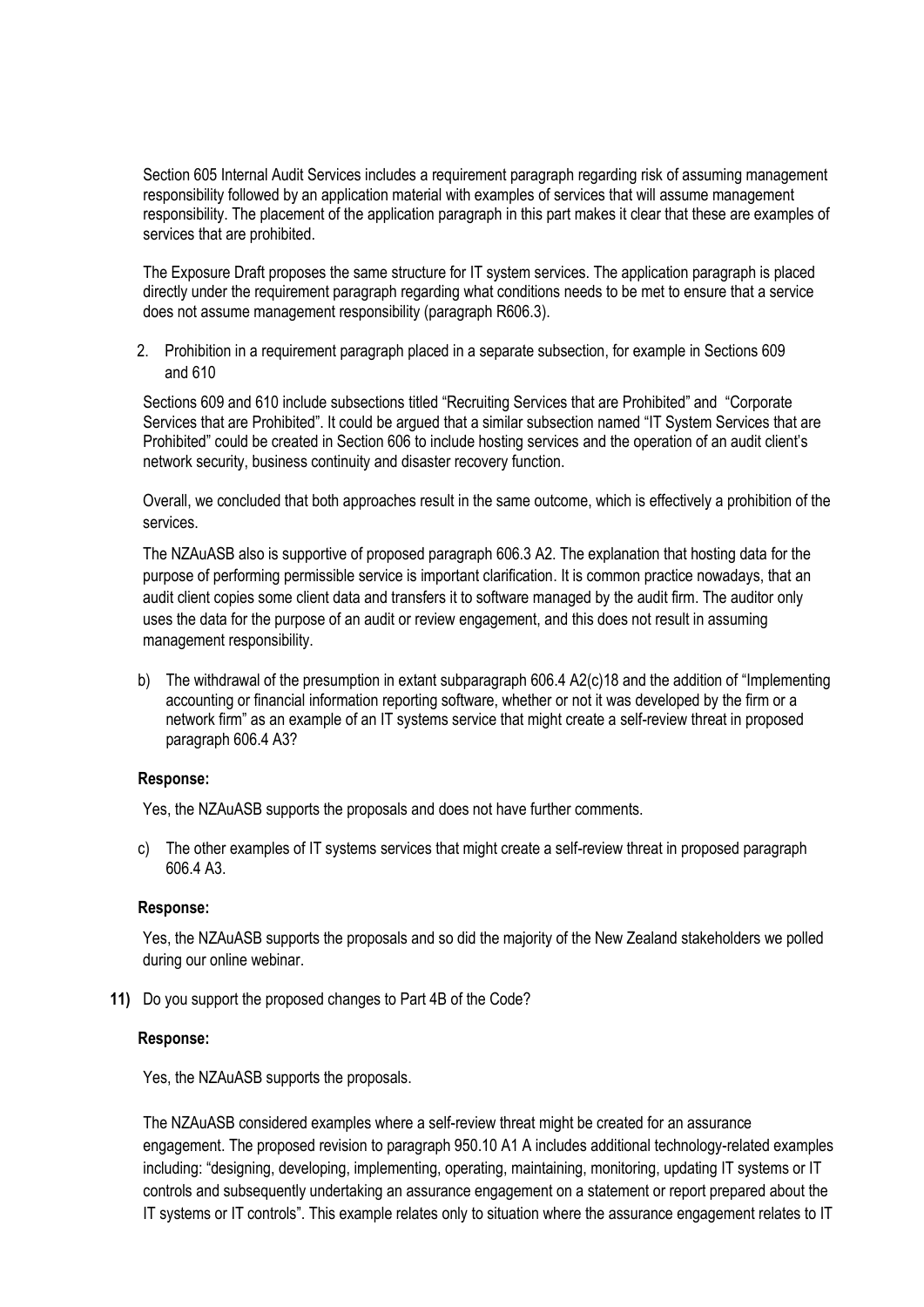Section 605 Internal Audit Services includes a requirement paragraph regarding risk of assuming management responsibility followed by an application material with examples of services that will assume management responsibility. The placement of the application paragraph in this part makes it clear that these are examples of services that are prohibited.

The Exposure Draft proposes the same structure for IT system services. The application paragraph is placed directly under the requirement paragraph regarding what conditions needs to be met to ensure that a service does not assume management responsibility (paragraph R606.3).

2. Prohibition in a requirement paragraph placed in a separate subsection, for example in Sections 609 and 610

Sections 609 and 610 include subsections titled "Recruiting Services that are Prohibited" and "Corporate Services that are Prohibited". It could be argued that a similar subsection named "IT System Services that are Prohibited" could be created in Section 606 to include hosting services and the operation of an audit client's network security, business continuity and disaster recovery function.

Overall, we concluded that both approaches result in the same outcome, which is effectively a prohibition of the services.

The NZAuASB also is supportive of proposed paragraph 606.3 A2. The explanation that hosting data for the purpose of performing permissible service is important clarification. It is common practice nowadays, that an audit client copies some client data and transfers it to software managed by the audit firm. The auditor only uses the data for the purpose of an audit or review engagement, and this does not result in assuming management responsibility.

b) The withdrawal of the presumption in extant subparagraph 606.4 A2(c)18 and the addition of "Implementing accounting or financial information reporting software, whether or not it was developed by the firm or a network firm" as an example of an IT systems service that might create a self-review threat in proposed paragraph 606.4 A3?

#### **Response:**

Yes, the NZAuASB supports the proposals and does not have further comments.

c) The other examples of IT systems services that might create a self-review threat in proposed paragraph 606.4 A3.

#### **Response:**

Yes, the NZAuASB supports the proposals and so did the majority of the New Zealand stakeholders we polled during our online webinar.

**11)** Do you support the proposed changes to Part 4B of the Code?

#### **Response:**

Yes, the NZAuASB supports the proposals.

The NZAuASB considered examples where a self-review threat might be created for an assurance engagement. The proposed revision to paragraph 950.10 A1 A includes additional technology-related examples including: "designing, developing, implementing, operating, maintaining, monitoring, updating IT systems or IT controls and subsequently undertaking an assurance engagement on a statement or report prepared about the IT systems or IT controls". This example relates only to situation where the assurance engagement relates to IT